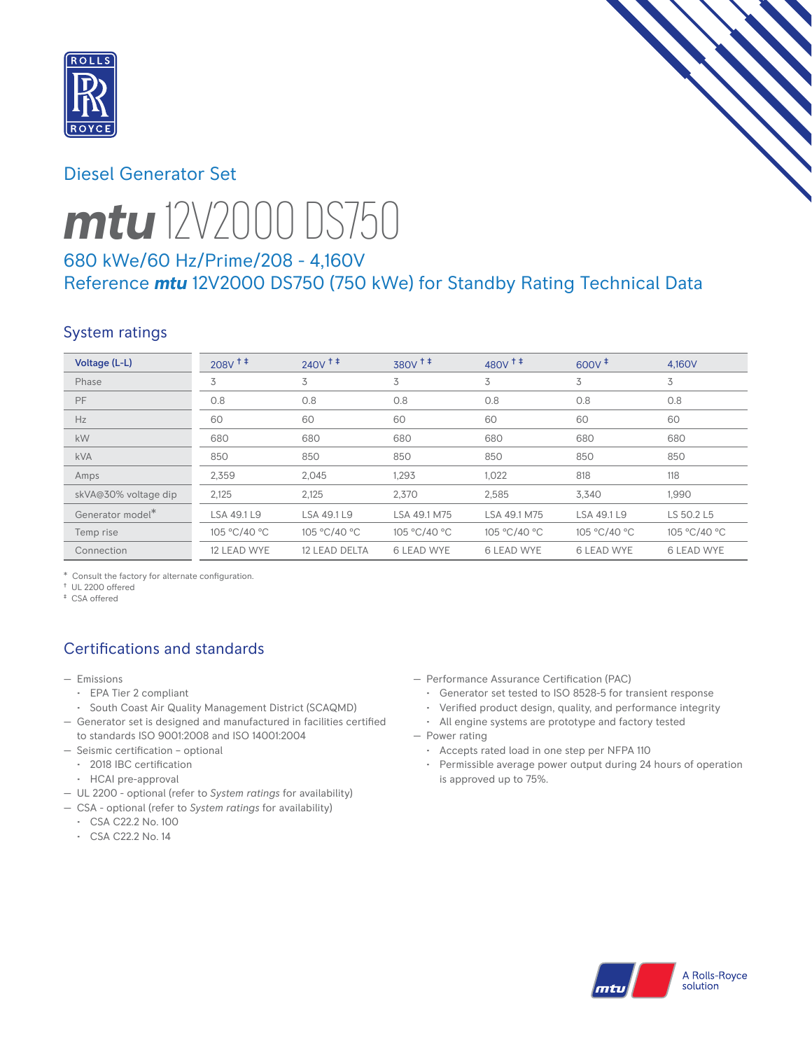

# Diesel Generator Set



# *mtu* 12V2000 DS750

# 680 kWe/60 Hz/Prime/208 - 4,160V Reference *mtu* 12V2000 DS750 (750 kWe) for Standby Rating Technical Data

# System ratings

| Voltage (L-L)        | $208V$ <sup>++</sup> | $240V$ <sup><math>+</math></sup> | $380V$ <sup>++</sup> | $480V$ <sup>++</sup> | $600V^+$          | 4.160V            |
|----------------------|----------------------|----------------------------------|----------------------|----------------------|-------------------|-------------------|
| Phase                | 3                    | 3                                | 3                    | 3                    | 3                 | 3                 |
| PF                   | 0.8                  | 0.8                              | 0.8                  | 0.8                  | 0.8               | 0.8               |
| Hz                   | 60                   | 60                               | 60                   | 60                   | 60                | 60                |
| kW                   | 680                  | 680                              | 680                  | 680                  | 680               | 680               |
| <b>kVA</b>           | 850                  | 850                              | 850                  | 850                  | 850               | 850               |
| Amps                 | 2,359                | 2,045                            | 1,293                | 1,022                | 818               | 118               |
| skVA@30% voltage dip | 2,125                | 2,125                            | 2,370                | 2,585                | 3,340             | 1,990             |
| Generator model*     | LSA 49.1 L9          | LSA 49.1 L9                      | LSA 49.1 M75         | LSA 49.1 M75         | LSA 49.1 L9       | LS 50.2 L5        |
| Temp rise            | 105 °C/40 °C         | 105 °C/40 °C                     | 105 °C/40 °C         | 105 °C/40 °C         | 105 °C/40 °C      | 105 °C/40 °C      |
| Connection           | 12 LEAD WYE          | 12 LEAD DELTA                    | <b>6 LEAD WYE</b>    | <b>6 LEAD WYE</b>    | <b>6 LEAD WYE</b> | <b>6 LEAD WYE</b> |

\* Consult the factory for alternate configuration.

† UL 2200 offered ‡ CSA offered

# Certifications and standards

- Emissions
	- EPA Tier 2 compliant
	- South Coast Air Quality Management District (SCAQMD)
- Generator set is designed and manufactured in facilities certified to standards ISO 9001:2008 and ISO 14001:2004
- Seismic certification optional
	- 2018 IBC certification
	- HCAI pre-approval
- UL 2200 optional (refer to *System ratings* for availability)
- CSA optional (refer to *System ratings* for availability)
	- CSA C22.2 No. 100
	- CSA C22.2 No. 14
- Performance Assurance Certification (PAC)
	- Generator set tested to ISO 8528-5 for transient response
	- Verified product design, quality, and performance integrity
- All engine systems are prototype and factory tested — Power rating
	- Accepts rated load in one step per NFPA 110
	- Permissible average power output during 24 hours of operation is approved up to 75%.

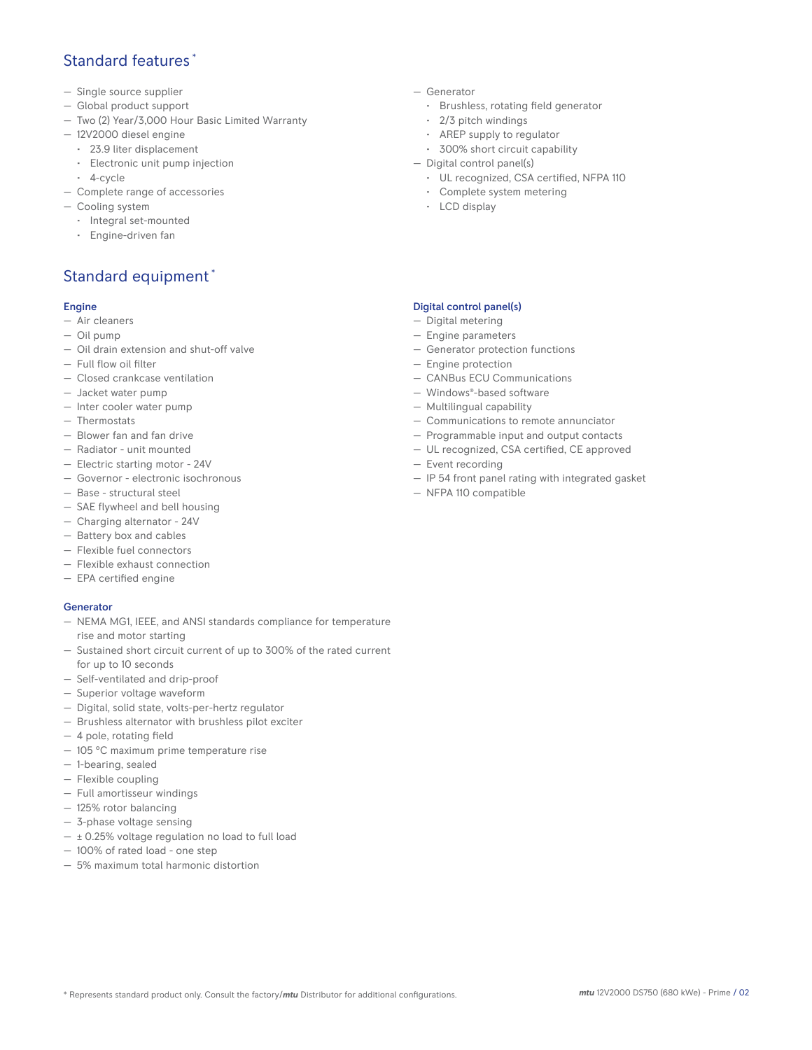#### Standard features \*

- Single source supplier
- Global product support
- Two (2) Year/3,000 Hour Basic Limited Warranty
- 12V2000 diesel engine
	- 23.9 liter displacement
	- Electronic unit pump injection
- 4-cycle
- Complete range of accessories
- Cooling system
	- Integral set-mounted
	- Engine-driven fan

# Standard equipment \*

#### Engine

- Air cleaners
- Oil pump
- Oil drain extension and shut-off valve
- Full flow oil filter
- Closed crankcase ventilation
- Jacket water pump
- Inter cooler water pump
- Thermostats
- Blower fan and fan drive
- Radiator unit mounted
- Electric starting motor 24V
- Governor electronic isochronous
- Base structural steel
- SAE flywheel and bell housing
- Charging alternator 24V
- Battery box and cables
- Flexible fuel connectors
- Flexible exhaust connection
- EPA certified engine

#### **Generator**

- NEMA MG1, IEEE, and ANSI standards compliance for temperature rise and motor starting
- Sustained short circuit current of up to 300% of the rated current for up to 10 seconds
- Self-ventilated and drip-proof
- Superior voltage waveform
- Digital, solid state, volts-per-hertz regulator
- Brushless alternator with brushless pilot exciter
- 4 pole, rotating field
- 105 °C maximum prime temperature rise
- 1-bearing, sealed
- Flexible coupling
- Full amortisseur windings
- 125% rotor balancing
- 3-phase voltage sensing
- $\pm$  0.25% voltage regulation no load to full load
- 100% of rated load one step
- 5% maximum total harmonic distortion
- Generator
	- Brushless, rotating field generator
	- 2/3 pitch windings
	- AREP supply to regulator
	- 300% short circuit capability
- Digital control panel(s)
	- UL recognized, CSA certified, NFPA 110
	- Complete system metering
	- LCD display

#### Digital control panel(s)

- Digital metering
- Engine parameters
- Generator protection functions
- Engine protection
- CANBus ECU Communications
- Windows®-based software
- Multilingual capability
- Communications to remote annunciator
- Programmable input and output contacts
- UL recognized, CSA certified, CE approved
- Event recording
- IP 54 front panel rating with integrated gasket
- NFPA 110 compatible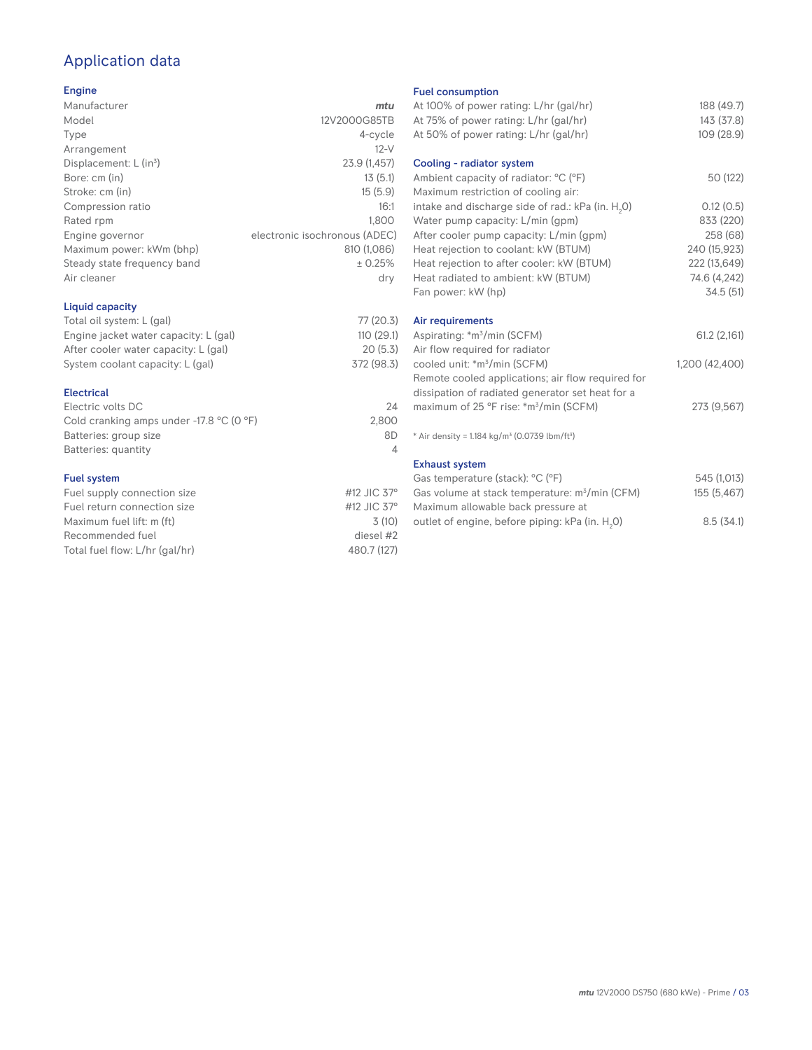# Application data

#### Engine

| Manufacturer                         | mtu                           |
|--------------------------------------|-------------------------------|
| Model                                | 12V2000G85TB                  |
| Type                                 | 4-cycle                       |
| Arrangement                          | $12-V$                        |
| Displacement: $L$ (in <sup>3</sup> ) | 23.9 (1,457)                  |
| Bore: cm (in)                        | 13(5.1)                       |
| Stroke: cm (in)                      | 15(5.9)                       |
| Compression ratio                    | 16:1                          |
| Rated rpm                            | 1.800                         |
| Engine governor                      | electronic isochronous (ADEC) |
| Maximum power: kWm (bhp)             | 810 (1,086)                   |
| Steady state frequency band          | ± 0.25%                       |
| Air cleaner                          | dry                           |
| Liquid capacity                      |                               |

| Total oil system: L (gal)             | 77 (20.3)  |
|---------------------------------------|------------|
| Engine jacket water capacity: L (gal) | 110(29.1)  |
| After cooler water capacity: L (gal)  | 20(5.3)    |
| System coolant capacity: L (gal)      | 372 (98.3) |
|                                       |            |

#### Electrical

| Electric volts DC                                            | 24    |
|--------------------------------------------------------------|-------|
| Cold cranking amps under -17.8 $^{\circ}$ C (O $^{\circ}$ F) | 2.800 |
| Batteries: group size                                        | 8D    |
| Batteries: quantity                                          | Δ     |
|                                                              |       |

#### Fuel system

| Fuel supply connection size    | #12 JIC $37^\circ$ |
|--------------------------------|--------------------|
| Fuel return connection size    | #12 JIC $37^\circ$ |
| Maximum fuel lift: m (ft)      | 3(10)              |
| Recommended fuel               | diesel #2          |
| Total fuel flow: L/hr (gal/hr) | 480.7 (127)        |
|                                |                    |

#### Fuel consumption

| At 100% of power rating: L/hr (gal/hr)<br>At 75% of power rating: L/hr (gal/hr)<br>At 50% of power rating: L/hr (gal/hr)                       | 188 (49.7)<br>143(37.8)<br>109 (28.9)                     |
|------------------------------------------------------------------------------------------------------------------------------------------------|-----------------------------------------------------------|
| Cooling - radiator system<br>Ambient capacity of radiator: °C (°F)<br>Maximum restriction of cooling air:                                      | 50 (122)                                                  |
| intake and discharge side of rad.: kPa (in. H <sub>2</sub> O)<br>Water pump capacity: L/min (gpm)<br>After cooler pump capacity: L/min (gpm)   | 0.12(0.5)<br>833 (220)<br>258 (68)                        |
| Heat rejection to coolant: kW (BTUM)<br>Heat rejection to after cooler: kW (BTUM)<br>Heat radiated to ambient: kW (BTUM)<br>Fan power: kW (hp) | 240 (15,923)<br>222 (13,649)<br>74.6 (4,242)<br>34.5 (51) |
| Air requirements<br>Aspirating: *m <sup>3</sup> /min (SCFM)                                                                                    | 61.2(2,161)                                               |
| Air flow required for radiator<br>cooled unit: *m <sup>3</sup> /min (SCFM)<br>Remote cooled applications; air flow required for                | 1,200 (42,400)                                            |
| dissipation of radiated generator set heat for a<br>maximum of 25 °F rise: *m <sup>3</sup> /min (SCFM)                                         | 273 (9,567)                                               |
| * Air density = 1.184 kg/m <sup>3</sup> (0.0739 lbm/ft <sup>3</sup> )                                                                          |                                                           |
| <b>Exhaust system</b><br>Gas temperature (stack): °C (°F)                                                                                      | 545 (1,013)                                               |
| Gas volume at stack temperature: m <sup>3</sup> /min (CFM)<br>Maximum allowable back pressure at                                               | 155 (5,467)                                               |
| outlet of engine, before piping: kPa (in. H <sub>2</sub> 0)                                                                                    | 8.5(34.1)                                                 |